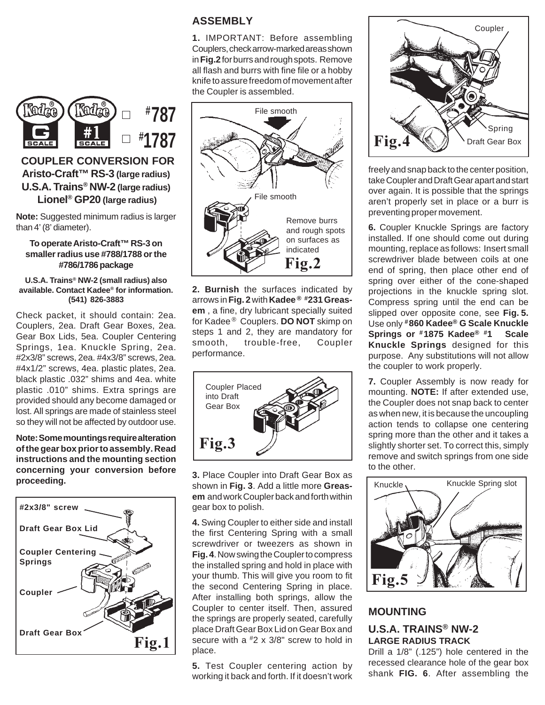

## **COUPLER CONVERSION FOR Aristo-Craft™ RS-3 (large radius) U.S.A. Trains® NW-2 (large radius) Lionel® GP20 (large radius)**

**Note:** Suggested minimum radius is larger than 4' (8' diameter).

### **To operate Aristo-Craft™ RS-3 on smaller radius use #788/1788 or the #786/1786 package**

#### **U.S.A. Trains® NW-2 (small radius) also available. Contact Kadee® for information. (541) 826-3883**

Check packet, it should contain: 2ea. Couplers, 2ea. Draft Gear Boxes, 2ea. Gear Box Lids, 5ea. Coupler Centering Springs, 1ea. Knuckle Spring, 2ea. #2x3/8" screws, 2ea. #4x3/8" screws, 2ea. #4x1/2" screws, 4ea. plastic plates, 2ea. black plastic .032" shims and 4ea. white plastic .010" shims. Extra springs are provided should any become damaged or lost. All springs are made of stainless steel so they will not be affected by outdoor use.

**Note: Some mountings require alteration of the gear box prior to assembly. Read instructions and the mounting section concerning your conversion before proceeding.**



# **ASSEMBLY**

**1.** IMPORTANT: Before assembling Couplers, check arrow-marked areas shown in **Fig.2** for burrs and rough spots. Remove all flash and burrs with fine file or a hobby knife to assure freedom of movement after the Coupler is assembled.



**2. Burnish** the surfaces indicated by arrows in **Fig. 2** with **Kadee ® #231 Greasem** , a fine, dry lubricant specially suited for Kadee ® Couplers. **DO NOT** skimp on steps 1 and 2, they are mandatory for smooth, trouble-free, Coupler performance.



**3.** Place Coupler into Draft Gear Box as shown in **Fig. 3**. Add a little more **Greasem** and work Coupler back and forth within gear box to polish.

**4.** Swing Coupler to either side and install the first Centering Spring with a small screwdriver or tweezers as shown in **Fig. 4**. Now swing the Coupler to compress the installed spring and hold in place with your thumb. This will give you room to fit the second Centering Spring in place. After installing both springs, allow the Coupler to center itself. Then, assured the springs are properly seated, carefully place Draft Gear Box Lid on Gear Box and secure with a #2 x 3/8" screw to hold in place.

**5.** Test Coupler centering action by working it back and forth. If it doesn't work



freely and snap back to the center position, take Coupler and Draft Gear apart and start over again. It is possible that the springs aren't properly set in place or a burr is preventing proper movement.

**6.** Coupler Knuckle Springs are factory installed. If one should come out during mounting, replace as follows: Insert small screwdriver blade between coils at one end of spring, then place other end of spring over either of the cone-shaped projections in the knuckle spring slot. Compress spring until the end can be slipped over opposite cone, see **Fig. 5.** Use only **#860 Kadee® G Scale Knuckle Springs or #1875 Kadee® #1 Scale Knuckle Springs** designed for this purpose. Any substitutions will not allow the coupler to work properly.

**7.** Coupler Assembly is now ready for mounting. **NOTE:** If after extended use, the Coupler does not snap back to center as when new, it is because the uncoupling action tends to collapse one centering spring more than the other and it takes a slightly shorter set. To correct this, simply remove and switch springs from one side to the other.



# **MOUNTING**

### **U.S.A. TRAINS® NW-2 LARGE RADIUS TRACK**

Drill a 1/8" (.125") hole centered in the recessed clearance hole of the gear box shank **FIG. 6**. After assembling the